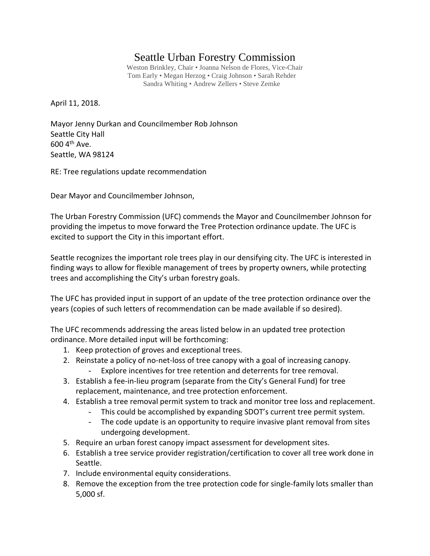## Seattle Urban Forestry Commission

Weston Brinkley, Chair • Joanna Nelson de Flores, Vice-Chair Tom Early • Megan Herzog • Craig Johnson • Sarah Rehder Sandra Whiting • Andrew Zellers • Steve Zemke

April 11, 2018.

Mayor Jenny Durkan and Councilmember Rob Johnson Seattle City Hall  $600$  4<sup>th</sup> Ave. Seattle, WA 98124

RE: Tree regulations update recommendation

Dear Mayor and Councilmember Johnson,

The Urban Forestry Commission (UFC) commends the Mayor and Councilmember Johnson for providing the impetus to move forward the Tree Protection ordinance update. The UFC is excited to support the City in this important effort.

Seattle recognizes the important role trees play in our densifying city. The UFC is interested in finding ways to allow for flexible management of trees by property owners, while protecting trees and accomplishing the City's urban forestry goals.

The UFC has provided input in support of an update of the tree protection ordinance over the years (copies of such letters of recommendation can be made available if so desired).

The UFC recommends addressing the areas listed below in an updated tree protection ordinance. More detailed input will be forthcoming:

- 1. Keep protection of groves and exceptional trees.
- 2. Reinstate a policy of no-net-loss of tree canopy with a goal of increasing canopy. Explore incentives for tree retention and deterrents for tree removal.
- 3. Establish a fee-in-lieu program (separate from the City's General Fund) for tree replacement, maintenance, and tree protection enforcement.
- 4. Establish a tree removal permit system to track and monitor tree loss and replacement.
	- This could be accomplished by expanding SDOT's current tree permit system.
	- The code update is an opportunity to require invasive plant removal from sites undergoing development.
- 5. Require an urban forest canopy impact assessment for development sites.
- 6. Establish a tree service provider registration/certification to cover all tree work done in Seattle.
- 7. Include environmental equity considerations.
- 8. Remove the exception from the tree protection code for single-family lots smaller than 5,000 sf.